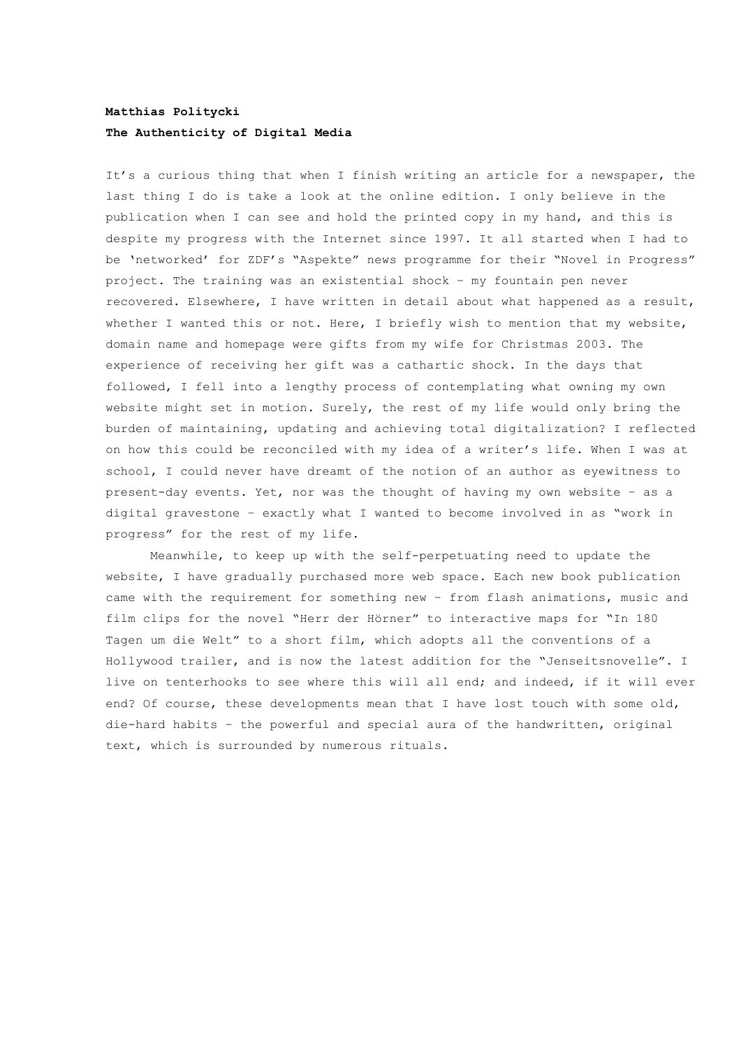## **Matthias Politycki The Authenticity of Digital Media**

It's a curious thing that when I finish writing an article for a newspaper, the last thing I do is take a look at the online edition. I only believe in the publication when I can see and hold the printed copy in my hand, and this is despite my progress with the Internet since 1997. It all started when I had to be 'networked' for ZDF's "Aspekte" news programme for their "Novel in Progress" project. The training was an existential shock – my fountain pen never recovered. Elsewhere, I have written in detail about what happened as a result, whether I wanted this or not. Here, I briefly wish to mention that my website, domain name and homepage were gifts from my wife for Christmas 2003. The experience of receiving her gift was a cathartic shock. In the days that followed, I fell into a lengthy process of contemplating what owning my own website might set in motion. Surely, the rest of my life would only bring the burden of maintaining, updating and achieving total digitalization? I reflected on how this could be reconciled with my idea of a writer's life. When I was at school, I could never have dreamt of the notion of an author as eyewitness to present-day events. Yet, nor was the thought of having my own website – as a digital gravestone – exactly what I wanted to become involved in as "work in progress" for the rest of my life.

Meanwhile, to keep up with the self-perpetuating need to update the website, I have gradually purchased more web space. Each new book publication came with the requirement for something new – from flash animations, music and film clips for the novel "Herr der Hörner" to interactive maps for "In 180 Tagen um die Welt" to a short film, which adopts all the conventions of a Hollywood trailer, and is now the latest addition for the "Jenseitsnovelle". I live on tenterhooks to see where this will all end; and indeed, if it will ever end? Of course, these developments mean that I have lost touch with some old, die-hard habits – the powerful and special aura of the handwritten, original text, which is surrounded by numerous rituals.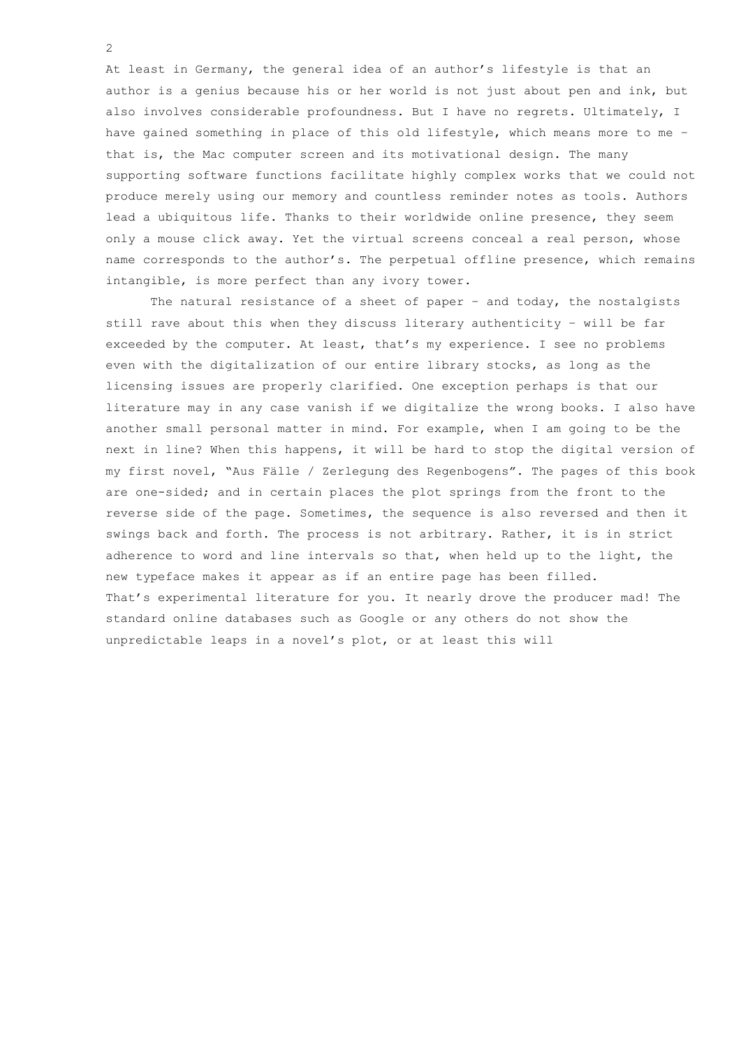At least in Germany, the general idea of an author's lifestyle is that an author is a genius because his or her world is not just about pen and ink, but also involves considerable profoundness. But I have no regrets. Ultimately, I have gained something in place of this old lifestyle, which means more to me – that is, the Mac computer screen and its motivational design. The many supporting software functions facilitate highly complex works that we could not produce merely using our memory and countless reminder notes as tools. Authors lead a ubiquitous life. Thanks to their worldwide online presence, they seem only a mouse click away. Yet the virtual screens conceal a real person, whose name corresponds to the author's. The perpetual offline presence, which remains intangible, is more perfect than any ivory tower.

The natural resistance of a sheet of paper  $-$  and today, the nostalgists still rave about this when they discuss literary authenticity – will be far exceeded by the computer. At least, that's my experience. I see no problems even with the digitalization of our entire library stocks, as long as the licensing issues are properly clarified. One exception perhaps is that our literature may in any case vanish if we digitalize the wrong books. I also have another small personal matter in mind. For example, when I am going to be the next in line? When this happens, it will be hard to stop the digital version of my first novel, "Aus Fälle / Zerlegung des Regenbogens". The pages of this book are one-sided; and in certain places the plot springs from the front to the reverse side of the page. Sometimes, the sequence is also reversed and then it swings back and forth. The process is not arbitrary. Rather, it is in strict adherence to word and line intervals so that, when held up to the light, the new typeface makes it appear as if an entire page has been filled. That's experimental literature for you. It nearly drove the producer mad! The standard online databases such as Google or any others do not show the unpredictable leaps in a novel's plot, or at least this will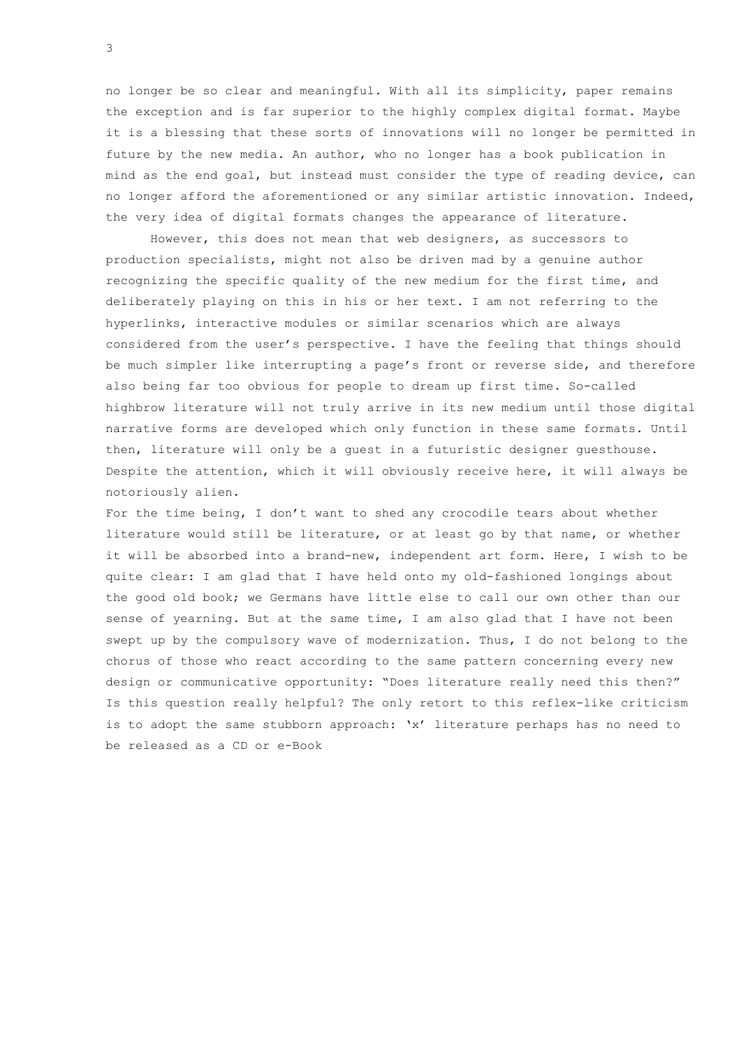no longer be so clear and meaningful. With all its simplicity, paper remains the exception and is far superior to the highly complex digital format. Maybe it is a blessing that these sorts of innovations will no longer be permitted in future by the new media. An author, who no longer has a book publication in mind as the end goal, but instead must consider the type of reading device, can no longer afford the aforementioned or any similar artistic innovation. Indeed, the very idea of digital formats changes the appearance of literature.

However, this does not mean that web designers, as successors to production specialists, might not also be driven mad by a genuine author recognizing the specific quality of the new medium for the first time, and deliberately playing on this in his or her text. I am not referring to the hyperlinks, interactive modules or similar scenarios which are always considered from the user's perspective. I have the feeling that things should be much simpler like interrupting a page's front or reverse side, and therefore also being far too obvious for people to dream up first time. So-called highbrow literature will not truly arrive in its new medium until those digital narrative forms are developed which only function in these same formats. Until then, literature will only be a guest in a futuristic designer guesthouse. Despite the attention, which it will obviously receive here, it will always be notoriously alien.

For the time being, I don't want to shed any crocodile tears about whether literature would still be literature, or at least go by that name, or whether it will be absorbed into a brand-new, independent art form. Here, I wish to be quite clear: I am glad that I have held onto my old-fashioned longings about the good old book; we Germans have little else to call our own other than our sense of yearning. But at the same time, I am also glad that I have not been swept up by the compulsory wave of modernization. Thus, I do not belong to the chorus of those who react according to the same pattern concerning every new design or communicative opportunity: "Does literature really need this then?" Is this question really helpful? The only retort to this reflex-like criticism is to adopt the same stubborn approach: 'x' literature perhaps has no need to be released as a CD or e-Book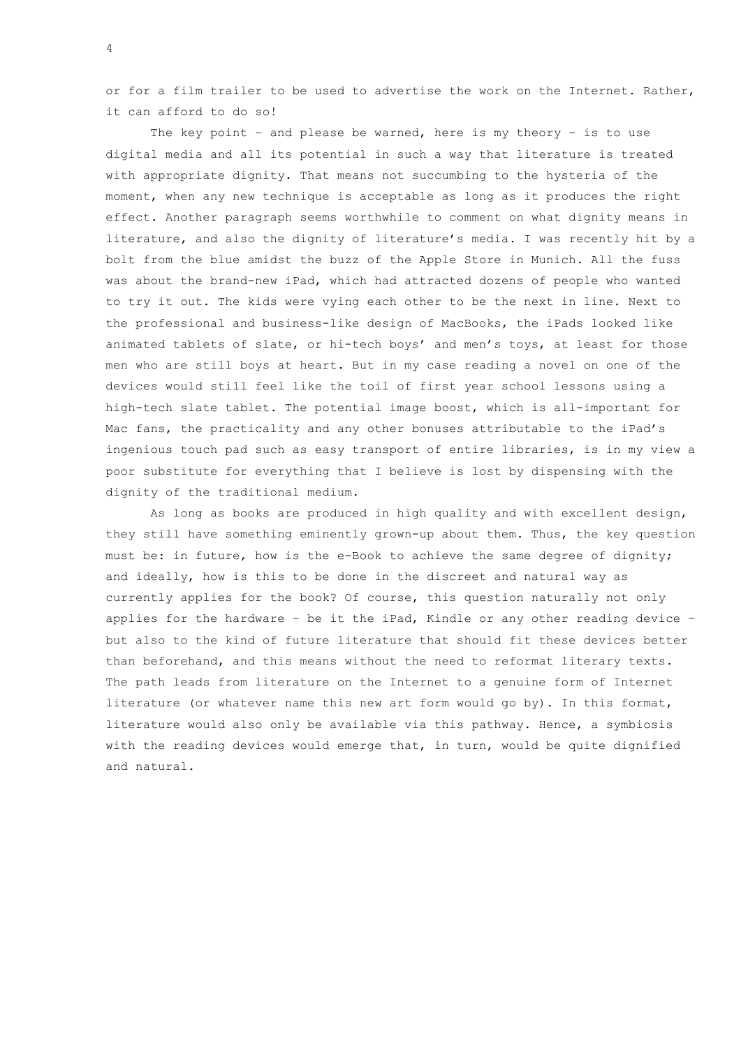or for a film trailer to be used to advertise the work on the Internet. Rather, it can afford to do so!

The key point - and please be warned, here is my theory - is to use digital media and all its potential in such a way that literature is treated with appropriate dignity. That means not succumbing to the hysteria of the moment, when any new technique is acceptable as long as it produces the right effect. Another paragraph seems worthwhile to comment on what dignity means in literature, and also the dignity of literature's media. I was recently hit by a bolt from the blue amidst the buzz of the Apple Store in Munich. All the fuss was about the brand-new iPad, which had attracted dozens of people who wanted to try it out. The kids were vying each other to be the next in line. Next to the professional and business-like design of MacBooks, the iPads looked like animated tablets of slate, or hi-tech boys' and men's toys, at least for those men who are still boys at heart. But in my case reading a novel on one of the devices would still feel like the toil of first year school lessons using a high-tech slate tablet. The potential image boost, which is all-important for Mac fans, the practicality and any other bonuses attributable to the iPad's ingenious touch pad such as easy transport of entire libraries, is in my view a poor substitute for everything that I believe is lost by dispensing with the dignity of the traditional medium.

As long as books are produced in high quality and with excellent design, they still have something eminently grown-up about them. Thus, the key question must be: in future, how is the e-Book to achieve the same degree of dignity; and ideally, how is this to be done in the discreet and natural way as currently applies for the book? Of course, this question naturally not only applies for the hardware – be it the iPad, Kindle or any other reading device – but also to the kind of future literature that should fit these devices better than beforehand, and this means without the need to reformat literary texts. The path leads from literature on the Internet to a genuine form of Internet literature (or whatever name this new art form would go by). In this format, literature would also only be available via this pathway. Hence, a symbiosis with the reading devices would emerge that, in turn, would be quite dignified and natural.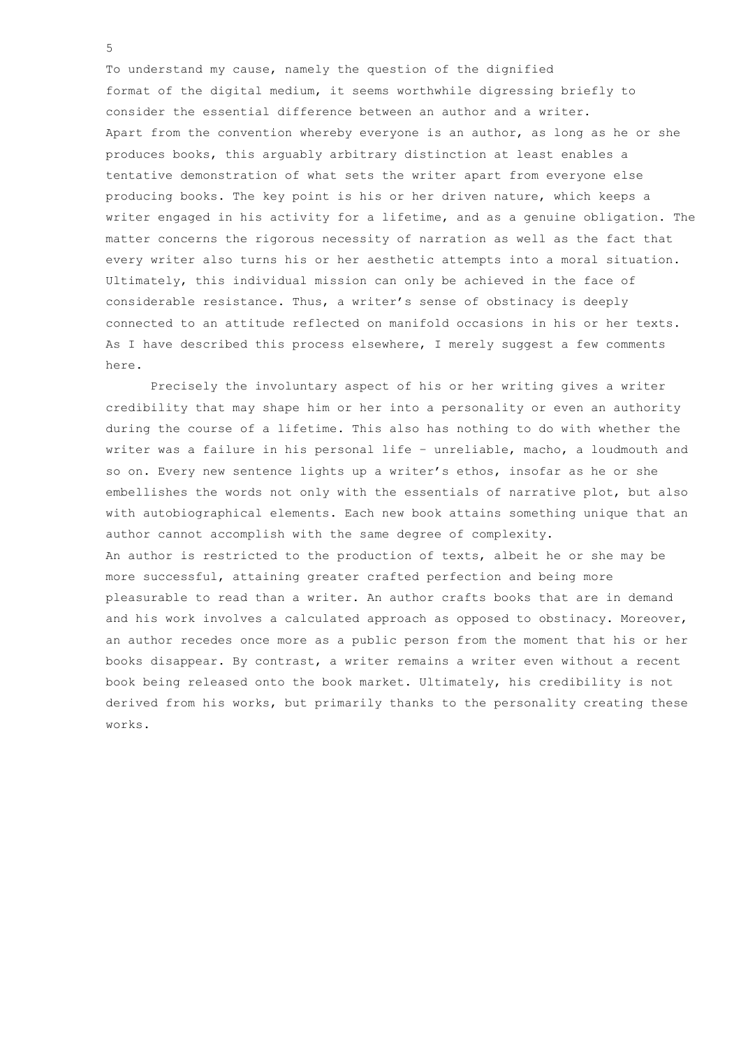To understand my cause, namely the question of the dignified format of the digital medium, it seems worthwhile digressing briefly to consider the essential difference between an author and a writer. Apart from the convention whereby everyone is an author, as long as he or she produces books, this arguably arbitrary distinction at least enables a tentative demonstration of what sets the writer apart from everyone else producing books. The key point is his or her driven nature, which keeps a writer engaged in his activity for a lifetime, and as a genuine obligation. The matter concerns the rigorous necessity of narration as well as the fact that every writer also turns his or her aesthetic attempts into a moral situation. Ultimately, this individual mission can only be achieved in the face of considerable resistance. Thus, a writer's sense of obstinacy is deeply connected to an attitude reflected on manifold occasions in his or her texts. As I have described this process elsewhere, I merely suggest a few comments here.

Precisely the involuntary aspect of his or her writing gives a writer credibility that may shape him or her into a personality or even an authority during the course of a lifetime. This also has nothing to do with whether the writer was a failure in his personal life – unreliable, macho, a loudmouth and so on. Every new sentence lights up a writer's ethos, insofar as he or she embellishes the words not only with the essentials of narrative plot, but also with autobiographical elements. Each new book attains something unique that an author cannot accomplish with the same degree of complexity. An author is restricted to the production of texts, albeit he or she may be more successful, attaining greater crafted perfection and being more pleasurable to read than a writer. An author crafts books that are in demand and his work involves a calculated approach as opposed to obstinacy. Moreover, an author recedes once more as a public person from the moment that his or her books disappear. By contrast, a writer remains a writer even without a recent book being released onto the book market. Ultimately, his credibility is not derived from his works, but primarily thanks to the personality creating these works.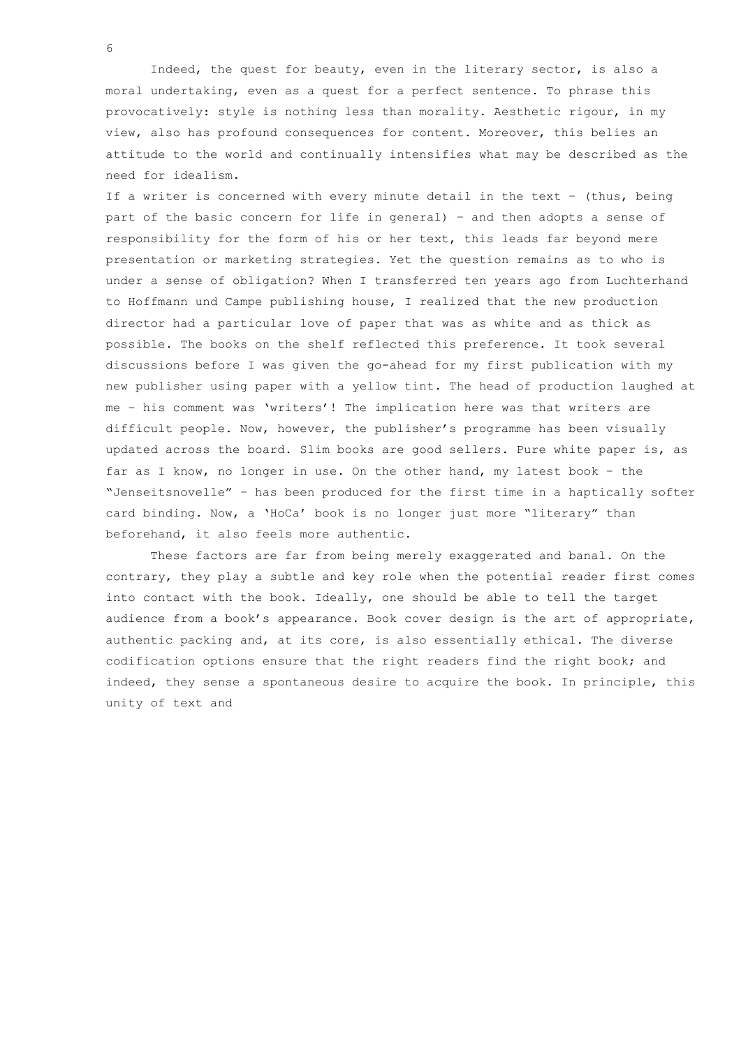Indeed, the quest for beauty, even in the literary sector, is also a moral undertaking, even as a quest for a perfect sentence. To phrase this provocatively: style is nothing less than morality. Aesthetic rigour, in my view, also has profound consequences for content. Moreover, this belies an attitude to the world and continually intensifies what may be described as the need for idealism.

If a writer is concerned with every minute detail in the text – (thus, being part of the basic concern for life in general) – and then adopts a sense of responsibility for the form of his or her text, this leads far beyond mere presentation or marketing strategies. Yet the question remains as to who is under a sense of obligation? When I transferred ten years ago from Luchterhand to Hoffmann und Campe publishing house, I realized that the new production director had a particular love of paper that was as white and as thick as possible. The books on the shelf reflected this preference. It took several discussions before I was given the go-ahead for my first publication with my new publisher using paper with a yellow tint. The head of production laughed at me – his comment was 'writers'! The implication here was that writers are difficult people. Now, however, the publisher's programme has been visually updated across the board. Slim books are good sellers. Pure white paper is, as far as I know, no longer in use. On the other hand, my latest book – the "Jenseitsnovelle" – has been produced for the first time in a haptically softer card binding. Now, a 'HoCa' book is no longer just more "literary" than beforehand, it also feels more authentic.

These factors are far from being merely exaggerated and banal. On the contrary, they play a subtle and key role when the potential reader first comes into contact with the book. Ideally, one should be able to tell the target audience from a book's appearance. Book cover design is the art of appropriate, authentic packing and, at its core, is also essentially ethical. The diverse codification options ensure that the right readers find the right book; and indeed, they sense a spontaneous desire to acquire the book. In principle, this unity of text and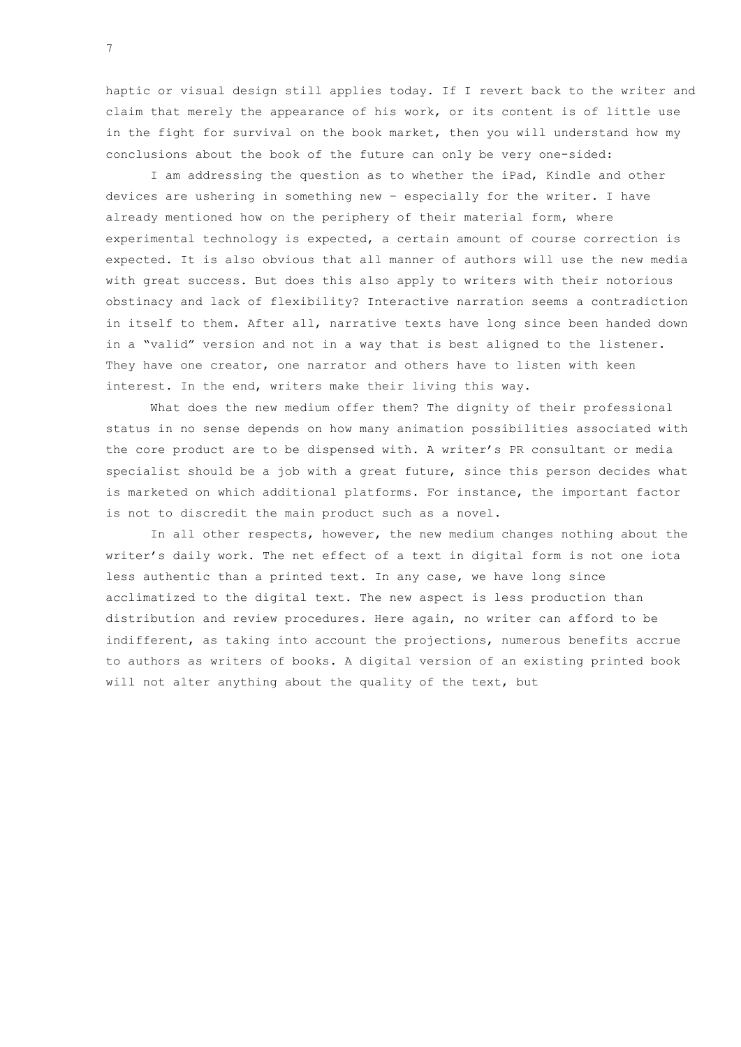haptic or visual design still applies today. If I revert back to the writer and claim that merely the appearance of his work, or its content is of little use in the fight for survival on the book market, then you will understand how my conclusions about the book of the future can only be very one-sided:

I am addressing the question as to whether the iPad, Kindle and other devices are ushering in something new – especially for the writer. I have already mentioned how on the periphery of their material form, where experimental technology is expected, a certain amount of course correction is expected. It is also obvious that all manner of authors will use the new media with great success. But does this also apply to writers with their notorious obstinacy and lack of flexibility? Interactive narration seems a contradiction in itself to them. After all, narrative texts have long since been handed down in a "valid" version and not in a way that is best aligned to the listener. They have one creator, one narrator and others have to listen with keen interest. In the end, writers make their living this way.

What does the new medium offer them? The dignity of their professional status in no sense depends on how many animation possibilities associated with the core product are to be dispensed with. A writer's PR consultant or media specialist should be a job with a great future, since this person decides what is marketed on which additional platforms. For instance, the important factor is not to discredit the main product such as a novel.

In all other respects, however, the new medium changes nothing about the writer's daily work. The net effect of a text in digital form is not one iota less authentic than a printed text. In any case, we have long since acclimatized to the digital text. The new aspect is less production than distribution and review procedures. Here again, no writer can afford to be indifferent, as taking into account the projections, numerous benefits accrue to authors as writers of books. A digital version of an existing printed book will not alter anything about the quality of the text, but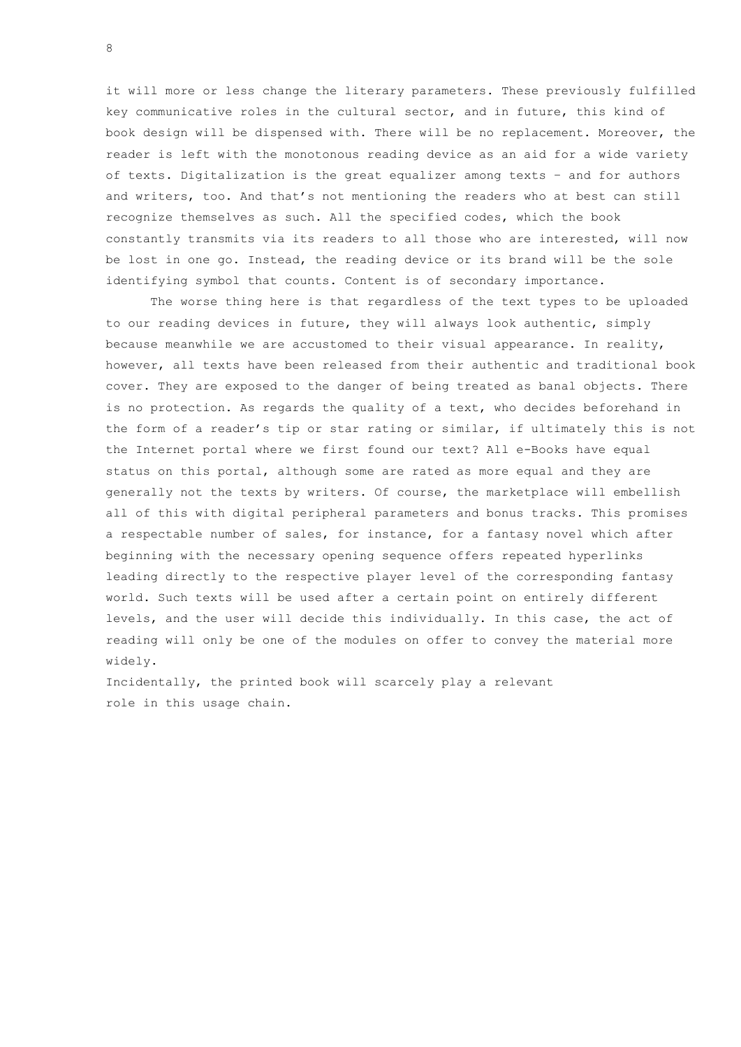it will more or less change the literary parameters. These previously fulfilled key communicative roles in the cultural sector, and in future, this kind of book design will be dispensed with. There will be no replacement. Moreover, the reader is left with the monotonous reading device as an aid for a wide variety of texts. Digitalization is the great equalizer among texts – and for authors and writers, too. And that's not mentioning the readers who at best can still recognize themselves as such. All the specified codes, which the book constantly transmits via its readers to all those who are interested, will now be lost in one go. Instead, the reading device or its brand will be the sole identifying symbol that counts. Content is of secondary importance.

The worse thing here is that regardless of the text types to be uploaded to our reading devices in future, they will always look authentic, simply because meanwhile we are accustomed to their visual appearance. In reality, however, all texts have been released from their authentic and traditional book cover. They are exposed to the danger of being treated as banal objects. There is no protection. As regards the quality of a text, who decides beforehand in the form of a reader's tip or star rating or similar, if ultimately this is not the Internet portal where we first found our text? All e-Books have equal status on this portal, although some are rated as more equal and they are generally not the texts by writers. Of course, the marketplace will embellish all of this with digital peripheral parameters and bonus tracks. This promises a respectable number of sales, for instance, for a fantasy novel which after beginning with the necessary opening sequence offers repeated hyperlinks leading directly to the respective player level of the corresponding fantasy world. Such texts will be used after a certain point on entirely different levels, and the user will decide this individually. In this case, the act of reading will only be one of the modules on offer to convey the material more widely.

Incidentally, the printed book will scarcely play a relevant role in this usage chain.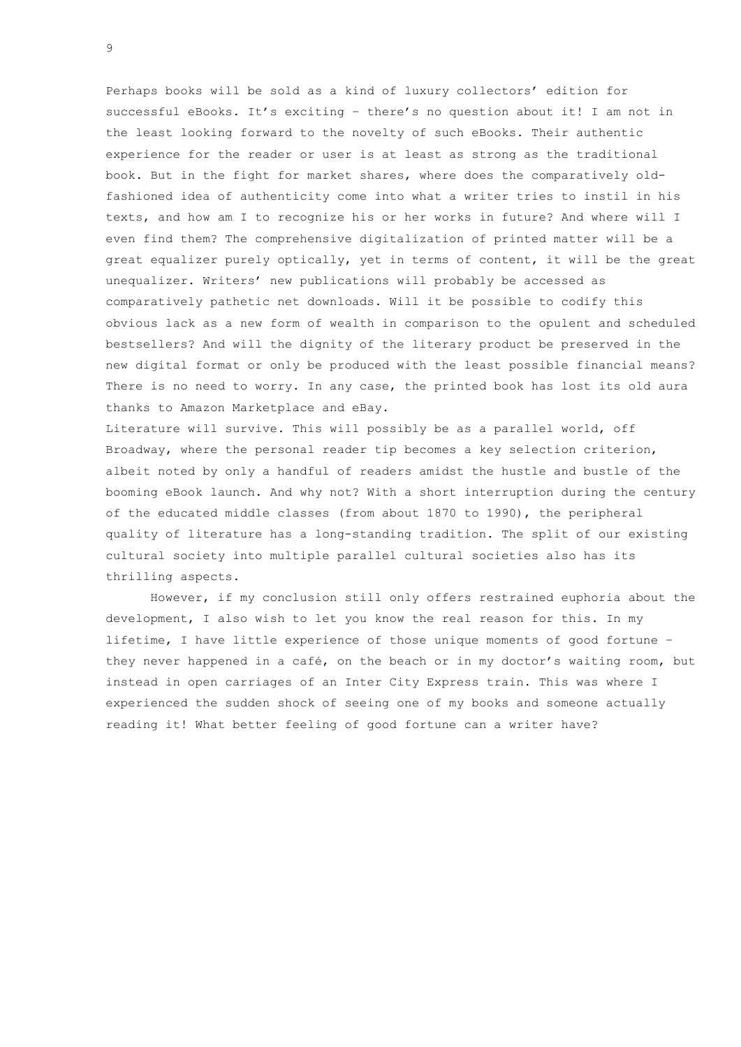Perhaps books will be sold as a kind of luxury collectors' edition for successful eBooks. It's exciting – there's no question about it! I am not in the least looking forward to the novelty of such eBooks. Their authentic experience for the reader or user is at least as strong as the traditional book. But in the fight for market shares, where does the comparatively oldfashioned idea of authenticity come into what a writer tries to instil in his texts, and how am I to recognize his or her works in future? And where will I even find them? The comprehensive digitalization of printed matter will be a great equalizer purely optically, yet in terms of content, it will be the great unequalizer. Writers' new publications will probably be accessed as comparatively pathetic net downloads. Will it be possible to codify this obvious lack as a new form of wealth in comparison to the opulent and scheduled bestsellers? And will the dignity of the literary product be preserved in the new digital format or only be produced with the least possible financial means? There is no need to worry. In any case, the printed book has lost its old aura thanks to Amazon Marketplace and eBay.

Literature will survive. This will possibly be as a parallel world, off Broadway, where the personal reader tip becomes a key selection criterion, albeit noted by only a handful of readers amidst the hustle and bustle of the booming eBook launch. And why not? With a short interruption during the century of the educated middle classes (from about 1870 to 1990), the peripheral quality of literature has a long-standing tradition. The split of our existing cultural society into multiple parallel cultural societies also has its thrilling aspects.

However, if my conclusion still only offers restrained euphoria about the development, I also wish to let you know the real reason for this. In my lifetime, I have little experience of those unique moments of good fortune – they never happened in a café, on the beach or in my doctor's waiting room, but instead in open carriages of an Inter City Express train. This was where I experienced the sudden shock of seeing one of my books and someone actually reading it! What better feeling of good fortune can a writer have?